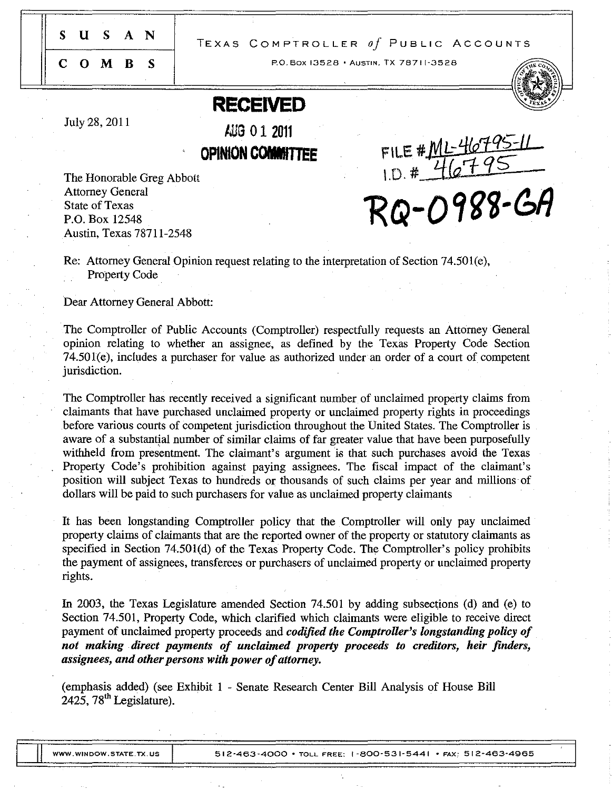SUS A N

## TEXAS COMPTROLLER *Of* PUBLIC ACCOUNTS

COM B S

RO.Box 13528· AUSTIN, TX 7871 [·3528

# **RECEIVED**

July 28,2011

AUG 01 <sup>2011</sup>

**OPINION COMMITTEE** 

The Honorable Greg Abbott Attorney General State of Texas P.O. Box 12548 Austin, Texas 78711-2548

FILE # ML-46795-11

RQ-0988-GA

Re: Attorney General Opinion request relating to the interpretation of Section 74.501(e), Property Code

Dear Attorney General Abbott:

The Comptroller of Public Accounts (Comptroller) respectfully requests an Attorney General opinion relating to whether an assignee, as defined by the Texas Property Code Section 74.501 (e), includes a purchaser for value as authorized under an order of a court of competent jurisdiction.

The Comptroller has recently received a significant number of unclaimed property claims from claimants that have purchased unclaimed property or unclaimed property rights in proceedings before various courts of competent jurisdiction throughout the United States. The Comptroller is aware of a substantial number of similar claims of far greater value that have been purposefully withheld from presentment. The claimant's argument is that such purchases avoid the Texas Property Code's prohibition against paying assignees. The fiscal impact of the claimant's position will subject Texas to hundreds or thousands of such claims per year and millions of dollars will be paid to such purchasers for value as unclaimed property claimants

It has been longstanding Comptroller policy that the Comptroller will only pay unclaimed property claims of claimants that are the reported owner of the property or statutory claimants as specified in Section 74.501(d) of the Texas Property Code. The Comptroller's policy prohibits the payment of assignees, transferees or purchasers of unclaimed property or unclaimed property rights.

In 2003, the Texas Legislature amended Section 74.501 by adding subsections (d) and (e) to Section 74.501, Property Code, which clarified which claimants were eligible to receive direct payment of unclaimed property proceeds and *codified the Comptroller's longstanding policy of not making direct payments of unclaimed property proceeds to creditors, heir finders, assignees, and other persons with power of attorney.* 

(emphasis added) (see Exhibit 1 - Senate Research Center Bill Analysis of House Bill  $2425$ , 78<sup>th</sup> Legislature).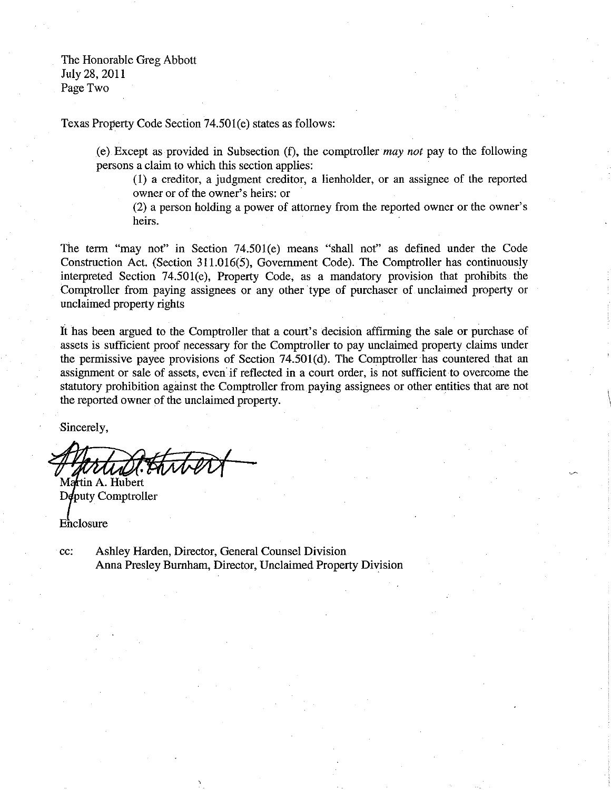The Honorable Greg Abbott July 28,2011 Page Two

Texas Property Code Section 74.501(e) states as follows:

(e) Except as provided in Subsection (f), the comptroller *may not* pay to the following persons a claim to which this section applies:

(I) a creditor, a judgment creditor, a lienholder, or an assignee of the reported owner or of the owner's heirs: or

(2) a person holding a power of attorney from the reported owner or the owner's heirs.

> i \

The term "may not" in Section 74.501(e) means "shall not" as defined under the Code Construction Act. (Section 311.016(5), Government Code). The Comptroller has continuously interpreted Section 74.501(e), Property Code, as a mandatory provision that prohibits the Comptroller from paying assignees or any other type of purchaser of unclaimed property or unclaimed property rights

**It** has been argued to the Comptroller that a court's decision affirming the sale or purchase of assets is sufficient proof necessary for the Comptroller to pay unclaimed property claims under the permissive payee provisions of Section 74.501(d). The Comptroller has countered that an assignment or sale of assets, even if reflected in a court order, is not sufficient to overcome the statutory prohibition against the Comptroller from paying assignees or other entities that are not the reported owner of the unclaimed property.

Sincerely,

Martin A. Hubert

Deputy Comptroller

Enclosure

cc: Ashley Harden, Director, General Counsel Division Anna Presley Burnham, Director, Unclaimed Property Division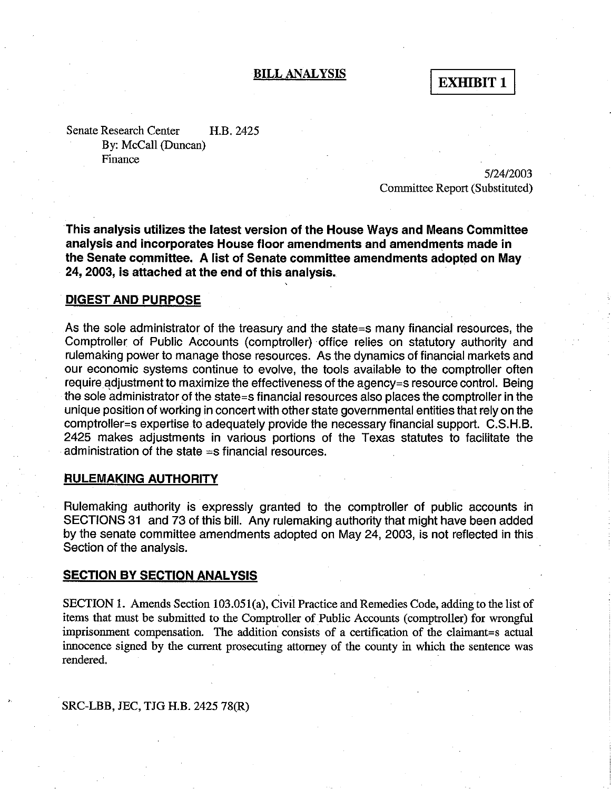## BILL ANALYSIS

**EXHIBIT 1** 

Senate Research Center H.B. 2425 By: McCall (Duncan) Finance

> 5/24/2003 Committee Report (Substituted)

This analysis utilizes the latest version of the House Ways and Means Committee analysis and incorporates House floor amendments and amendments made in the Senate committee. A list of Senate committee amendments adopted on May 24, 2003, is attached at the end of this analysis.

## DIGEST AND PURPOSE

As the sole administrator of the treasury and the state=s many financial resources, the Comptroller of Public Accounts (comptroller) office relies on statutory authority and rulemaking power to manage those resources. As the dynamics of financial markets and our economic systems continue to evolve, the tools available to the comptroller often require adjustment to maximize the effectiveness of the agency=s resource control. Being the sole administrator of the state=s financial resources also places the comptroller in the unique position of working in concert with other state governmental entities that rely on the comptroller=s expertise to adequately provide the necessary financial support. C.S.H.B. 2425 makes adjustments in various portions of the Texas statutes to facilitate the administration of the state  $=$ s financial resources.

## RULEMAKING AUTHORITY

Rulemaking authority is expressly granted to the comptroller of public accounts in SECTIONS 31 and 73 of this bill. Any rulemaking authority that might have been added by the senate committee amendments adopted on May 24, 2003, is not reflected in this Section of the analysis.

#### **SECTION BY SECTION ANALYSIS**

SECTION 1. Amends Section 103.051(a), Civil Practice and Remedies Code, adding to the list of items that must be submitted to the Comptroller of Public Accounts (comptroller) for wrongful imprisonment compensation. The addition consists of a certification of the claimant=s actual innocence signed by the current prosecuting attorney of the county in which the sentence was rendered.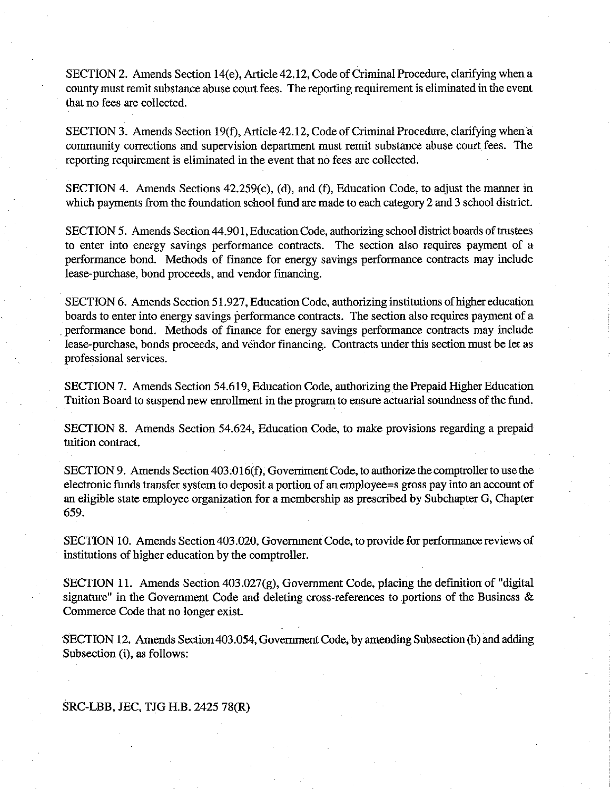SECTION 2. Amends Section 14(e), Article 42.12, Code of Criminal Procedure, clarifying when a county must remit substance abuse court fees. The reporting requirement is eliminated in the event that no fees are collected.

SECTION 3. Amends Section 19(f), Article 42.12, Code of Criminal Procedure, clarifying when a community corrections and supervision department must remit substance abuse court fees. The reporting requirement is eliminated in the event that no fees are collected.

SECTION 4. Amends Sections 42.259(c), (d), and (f), Education Code, to adjust the manner in which payments from the foundation school fund are made to each category 2 and 3 school district.

SECTION 5. Amends Section 44.901, Education Code, authorizing school district boards of trustees to enter into energy savings performance contracts. The section also requires payment of a performance bond. Methods of finance for energy savings performance contracts may include lease-purchase, bond proceeds, and vendor financing.

SECTION 6. Amends Section 51.927, Education Code, authorizing institutions of higher education boards to enter into energy savings performance contracts. The section also requires payment of a . performance bond. Methods of fmance for energy savings performance contracts may include lease-purchase, bonds proceeds, and vendor financing. Contracts under this section must be let as professional services.

SECTION 7. Amends Section 54.619, Education Code, authorizing the Prepaid Higher Education Tuition Board to suspend new enrollment in the program to ensure actuarial soundness of the fund.

SECTION 8. Amends Section 54.624, Education Code, to make provisions regarding a prepaid tuition contract.

SECTION 9. Amends Section 403.0 16(f), Government Code, to authorize the comptroller to use the electronic funds transfer system to deposit a portion of an employee=s gross pay into an account of an eligible state employee organization for a membership as prescribed by Subchapter G, Chapter 659.

SECTION 10. Amends Section 403 .020, Government Code, to provide for performance reviews of institutions of higher education by the comptroller.

SECTION 11. Amends Section 403.027(g), Government Code, placing the definition of "digital signature" in the Government Code and deleting cross-references to portions of the Business  $\&$ Commerce Code that no longer exist.

SECTION 12. Amends Section 403.054, Government Code, by amending Subsection (b) and adding Subsection (i), as follows: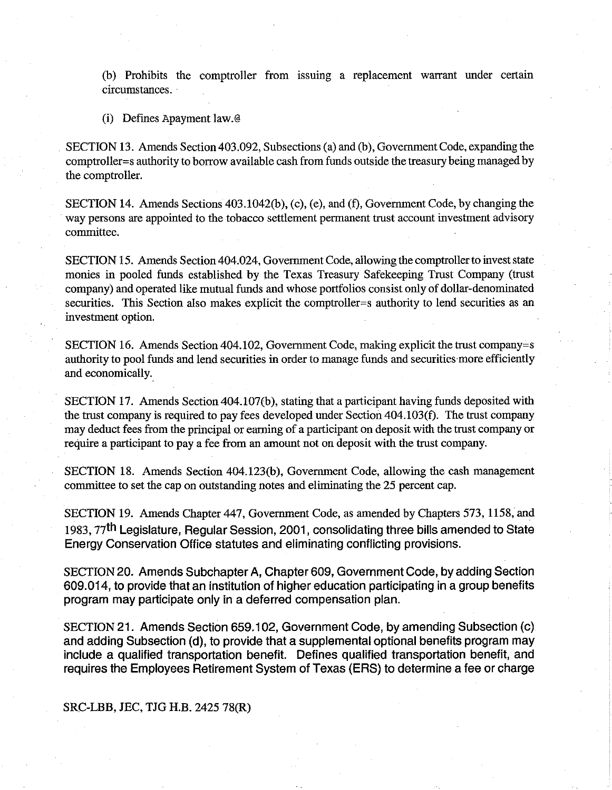(b) Prohibits the comptroller from issuing a replacement warrant under certain circumstances.

(i) Defines Apayment law.@

SECTION 13. Amends Section 403.092, Subsections (a) and (b), Government Code, expanding the comptroller=s authority to borrow available cash from funds outside the treasury being managed by the comptroller.

SECTION 14. Amends Sections 403.1042(b), (c), (e), and (f), Government Code, by changing the . way persons are appointed to the tobacco settlement permanent trust account investment advisory cornmittee.

SECTION 15. Amends Section 404.024, Government Code, allowing the comptroller to invest state monies in pooled funds established by the Texas Treasury Safekeeping Trust Company (trust company) and operated like mutual funds and whose portfolios consist only of dollar-denominated securities. This Section also makes explicit the comptroller=s authority to lend securities as an investment option.

SECTION 16. Amends Section 404.102, Government Code, making explicit the trust company=s authority to pool funds and lend securities in order to manage funds and securities more efficiently and economically.

SECTION 17. Amends Section 404.107(b), stating that a participant having funds deposited with the trust company is required to pay fees developed under Section 404.103(f). The trust company may deduct fees from the principal or earning of a participant on deposit with the trust company or require a participant to pay a fee from an amount not on deposit with the trust company.

SECTION 18. Amends Section 404. 123(b), Government Code, allowing the cash management committee to set the cap on outstanding notes and eliminating the 25 percent cap.

SECTION 19. Amends Chapter 447, Government Code, as amended by Chapters 573, 1158, and 1983, 77th Legislature, Regular Session, 2001, consolidating three bills amended to State Energy Conservation Office statutes and eliminating conflicting provisions.

SECTION 20. Amends Subchapter A, Chapter 609, Government Code, by adding Section 609.014, to provide that an institution of higher education participating in a group benefits program may participate only in a deferred compensation plan.

SECTION 21. Amends Section 659.102, Government Code, by amending Subsection (c) and adding Subsection (d), to provide that a supplemental optional benefits program may include a qualified transportation benefit. Defines qualified transportation benefit, and requires the Employees Retirement System of Texas (ERS) to determine a fee or charge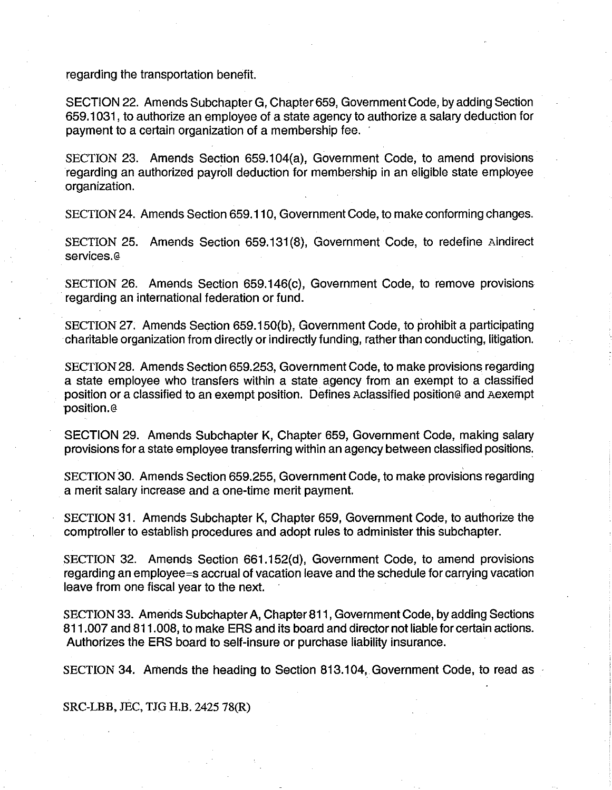regarding the transportation benefit.

SECTION 22. Amends Subchapter G, Chapter 659, Governrnent Code, by adding Section 659.1031, to authorize an employee of a state agency to authorize a salary deduction for payment to a certain organization of a membership fee. .

SECTION 23. Amends Section 659.104(a), Government Code, to amend provisions regarding an authorized payroll deduction for membership in an eligible state employee organization.

SECTION 24. Amends Section 659.110, Government Code, to make conforming changes.

SECTION 25. Amends Section 659.131 (8), Government Code, to redefine Aindirect services.@

SECTION 26. Amends Section 659.146(c), Government Code, to remove provisions regarding an international federation or fund.

SECTION 27. Amends Section 659.150(b), Government Code, to prohibit a participating charitable organization from directly or indirectly funding, rather than conducting, litigation.

SECTION 28. Amends Section 659.253, Government Code, to make provisions regarding a state employee who transfers within a state agency from an exempt to a classified position or a classified to an exempt position. Defines Aclassified position@ and Aexempt position.@

SECTION 29. Amends Subchapter K, Chapter 659, Government Code, making salary provisions for a state employee transferring within an agency between classified positions:

SECTION 30. Amends Section 659.255, Government Code, to make provisions regarding a merit salary increase and a one-time merit payment.

SECTION 31. Amends Subchapter K, Chapter 659, Government Code, to authorize the comptroller to establish procedures and adopt rules to administer this subchapter.

SECTION 32. Amends Section 661.152(d), Government Code, to amend provisions regarding an employee=s accrual of vacation leave and the schedule for carrying vacation leave from one fiscal year to the next.

SECTION 33. Amends Subchapter A, Chapter 811, Government Code, by adding Sections 811.007 and 811.008, to make ERS and its board and director not liable for certain actions. Authorizes the ERS board to self-insure or purchase liability insurance.

SECTION 34. Amends the heading to Section 813.104, Government Code, to read as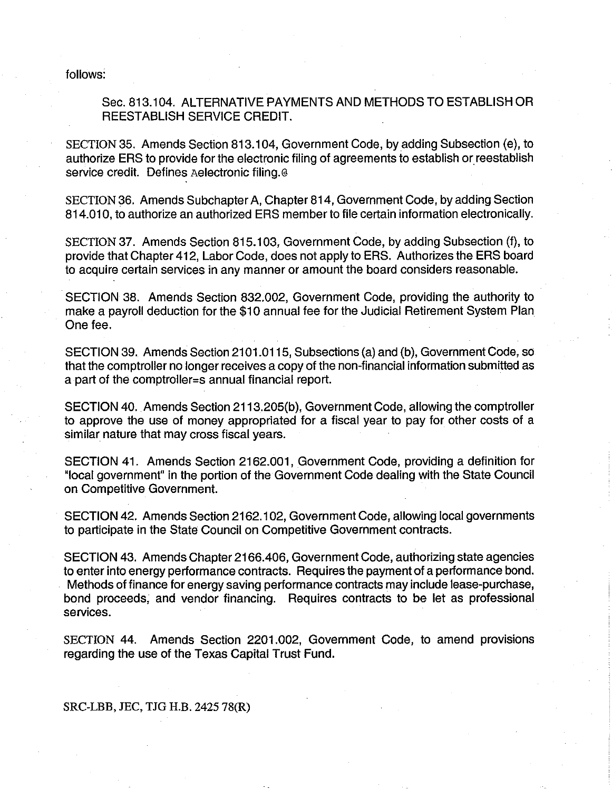follows:

## Sec. 813.104. ALTERNATIVE PAYMENTS AND METHODS TO ESTABLISH OR REESTABLISH SERVICE CREDIT.

SECTION 35. Amends Section 813.104, Government Code, by adding Subsection (e), to authorize ERS to provide for the electronic filing of agreements to establish or reestablish service credit. Defines Aelectronic filing.@

SECTION 36. Amends Subchapter A, Chapter 814, Government Code, by adding Section 814.010, to authorize an authorized ERS member to file certain information electronically.

SECTION 37. Amends Section 815.103, Government Code, by adding Subsection (f), to provide that Chapter 412, Labor Code, does not apply to ERS. Authorizes the ERS board to acquire certain services in any manner or amount the board considers reasonable.

SECTION 38. Amends Section 832.002, Government Code, providing the authority to make a payroll deduction for the \$10 annual fee for the Judicial Retirement System Plan One fee.

SECTION 39. Amends Section 2101.0115, Subsections (a) and (b), Government Code, so that the comptroller no longer receives a copy of the non-financial information submitted as a part of the comptroller=s annual financial report.

SECTION 40. Amends Section 2113.205(b), Government Code, allowing the comptroller to approve the use of money appropriated for a fiscal year to pay for other costs of a similar nature that may cross fiscal years.

SECTION 41. Amends Section 2162.001, Government Code, providing a definition for "local government" in the portion of the Government Code dealing with the State Council on Competitive Government.

SECTION 42. Amends Section 2162.1 02, Government Code, allowing local governments to participate in the State Council on Competitive Government contracts.

SECTION 43. Amends Chapter 2166.406, Government Code, authorizing state agencies to enter into energy performance contracts. Requires the payment of a performance bond. Methods of finance for energy saving performance contracts may include lease-purchase, bond proceeds, and vendor financing. Requires contracts to be let as professional services.

SECTION 44. Amends Section 2201.002, Government Code, to amend provisions regarding the use of the Texas Capital Trust Fund.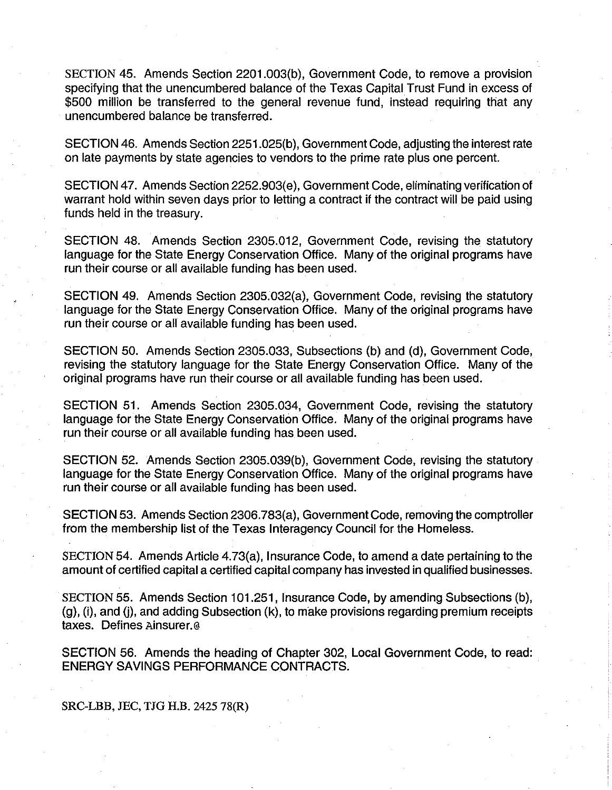SECTION 45. Amends Section 2201.003(b), Government Code, to remove a provision specifying that the unencumbered balance of the Texas Capital Trust Fund in excess of \$500 million be transferred to the general revenue fund, instead requiring that any unencumbered balance be transferred.

SECTION 46. Amends Section 2251.025(b), Government Code, adjusting the interest rate on late payments by state agencies to vendors to the prime rate plus one percent.

SECTION 47. Amends Section 2252.903(e), Government Code, eliminating verification of warrant hold within seven days prior to letting a contract if the contract will be paid using funds held in the treasury.

SECTION 48. Amends Section 2305.012, Government Code, revising the statutory language for the State Energy Conservation Office. Many of the original programs have run their course or all available funding has been used.

SECTION 49. Amends Section 2305.032(a), Government Code, revising the statutory language for the State Energy Conservation Office. Many of the original programs have run their course or all available funding has been used.

SECTION 50. Amends Section 2305.033, Subsections (b) and (d), Government Code, revising the statutory language for the State Energy Conservation Office. Many of the original programs have run their course or all available funding has been used.

SECTION 51. Amends Section 2305.034, Government Code, revising the statutory language for the State Energy Conservation Office. Many of the original programs have run their course or all available funding has been used.

SECTION 52. Amends Section 2305.039(b), Government Code, revising the statutory language for the State Energy Conservation Office. Many of the original programs have run their course or all available funding has been used.

SECTION 53. Amends Section 2306.783(a), Government Code, removing the comptroller from the membership list of the Texas Interagency Council for the Homeless.

SECTION 54. Amends Article 4.73(a), Insurance Code, to amend a date pertaining to the amount of certified capital a certified capital company has invested in qualified businesses.

SECTION 55. Amends Section 101.251, Insurance Code, by amending Subsections (b), (g), (i), and (j), and adding Subsection (k), to make provisions regarding premium receipts taxes. Defines Ainsurer.@

SECTION 56. Amends the heading of Chapter 302, Local Government Code, to read: ENERGY SAVINGS PERFORMANCE CONTRACTS.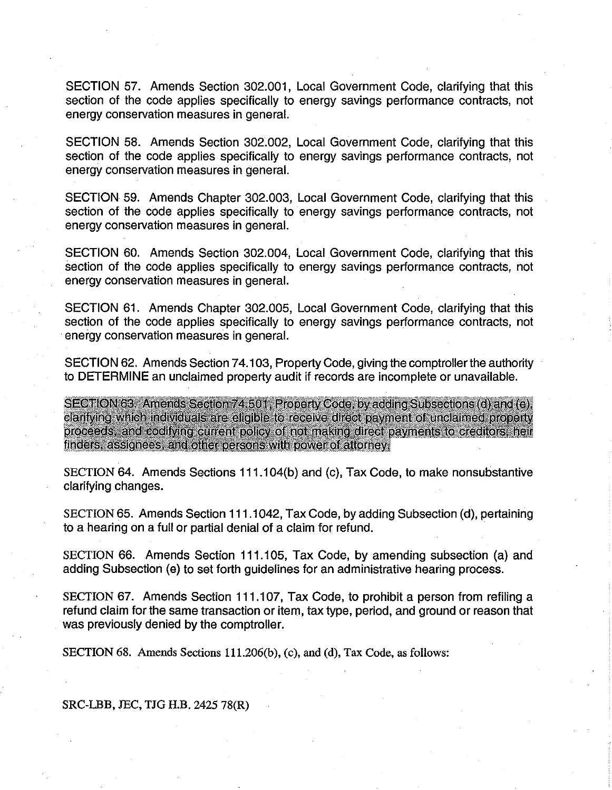SECTION 57. Amends Section 302.001, Local Government Code, clarifying that this section of the code applies specifically to energy savings performance contracts, not energy conservation measures in general.

SECTION 58. Amends Section 302.002, Local Government Code, clarifying that this section of the code applies specifically to energy savings performance contracts, not energy conservation measures in general.

SECTION 59. Amends Chapter 302.003, Local Government Code, clarifying that this section of the code applies specifically to energy savings performance contracts, not energy conservation measures in general.

SECTION 60. Amends Section 302.004, Local Government Code, clarifying that this section of the code applies specifically to energy savings performance contracts, not energy conservation measures in general.

SECTION 61. Amends Chapter 302.005, Local Government Code, clarifying that this section of the code applies specifically to energy savings performance contracts, not energy conservation measures in general.

SECTION 62. Amends Section 74.103, Property Code, giving the comptroller the authority to DETERMINE an unclaimed property audit if records are incomplete or unavailable.

SECTION 63. Americs Section 74 501. Property Code: by adding Subsections (d) and (e). claritying which individuals are eligible to receive direct payment of unclaimed property proceeds, and codifying current policy of not making direct payments to creditors, heir finders, assignees, and other persons with power of attorney.

SECTION 64. Amends Sections 111.104(b) and (c), Tax Code, to make nonsubstantive clarifying changes.

SECTION 65. Amends Section 111.1042, Tax Code, by adding Subsection (d), pertaining to a hearing on a full or partial denial of a claim for refund.

SECTION 66. Amends Section 111.105, Tax Code, by amending subsection (a) and adding Subsection (e) to set forth guidelines for an administrative hearing process.

SECTION 67. Amends Section 111.107, Tax Code, to prohibit a person from refiling a refund claim for the same transaction or item, tax type, period, and ground or reason that was previously denied by the comptroller.

SECTION 68. Amends Sections 111.206(b), (c), and (d), Tax Code, as follows: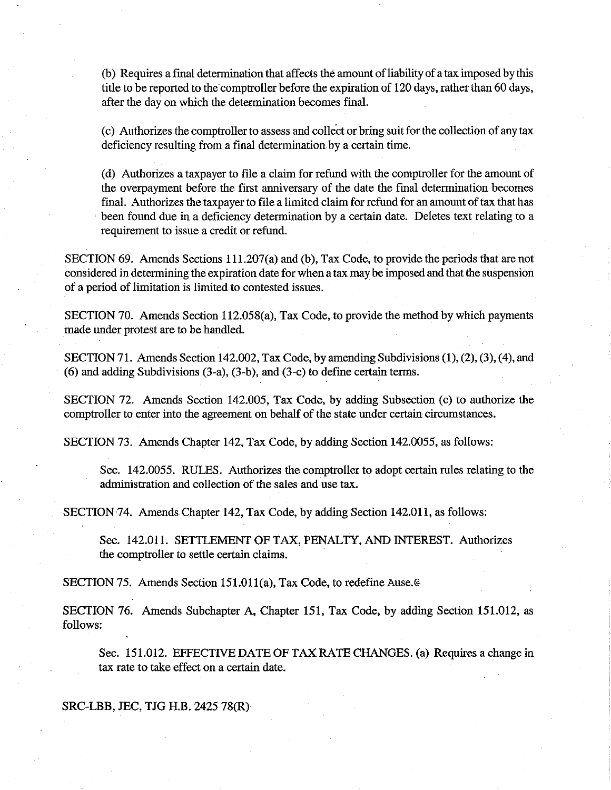(b) Requires a final determination that affects the amount of liability of a tax imposed by this title to be reported to the comptroller before the expiration of 120 days, rather than 60 days, after the day on which the determination becomes final.

(c) Authorizes the comptroller to assess and collect or bring suit for the collection of any tax deficiency resulting from a final determination by a certain time.

(d) Authorizes a taxpayer to file a claim for refund with the comptroller for the amount of the overpayment before the first anniversary of the date the final determination becomes final. Authorizes the taxpayer to file a limited claim for refund for an amount of tax that has been found due in a deficiency determination by a certain date. Deletes text relating to a requirement to issue a credit or refund.

SECTION 69. Amends Sections 111.207(a) and (b), Tax Code, to provide the periods that are not considered in determining the expiration date for when a tax may be imposed and that the suspension of a period of limitation is limited to contested issues.

SECTION 70. Amends Section 112.058(a), Tax Code, to provide the method by which payments made under protest are to be handled.

SECTION 71. Amends Section 142.002, Tax Code, by amending Subdivisions (1), (2), (3), (4), and (6) and adding Subdivisions (3-a), (3-b), and (3-c) to defme certain terms.

SECTION 72. Amends Section 142.005, Tax Code, by adding Subsection (c) to authorize the comptroller to enter into the agreement on behalf of the state under certain circumstances.

SECTION 73. Amends Chapter 142, Tax Code, by adding Section 142.0055, as follows:

Sec. 142.0055. RULES. Authorizes the comptroller to adopt certain rules relating to the administration and collection of the sales and use tax.

SECTION 74. Amends Chapter 142, Tax Code, by adding Section 142.011, as follows:

Sec. 142.011. SETTLEMENT OF TAX, PENALTY, AND INTEREST. Authorizes the comptroller to settle certain claims.

SECTION 75. Amends Section 151.011(a), Tax Code, to redefine Ause.@

SECTION 76. Amends Subchapter A, Chapter 151, Tax Code, by adding Section 151.012, as follows:

Sec. 151.012. EFFECTIVE DATE OF TAX RATE CHANGES. (a) Requires a change in tax rate to take effect on a certain date.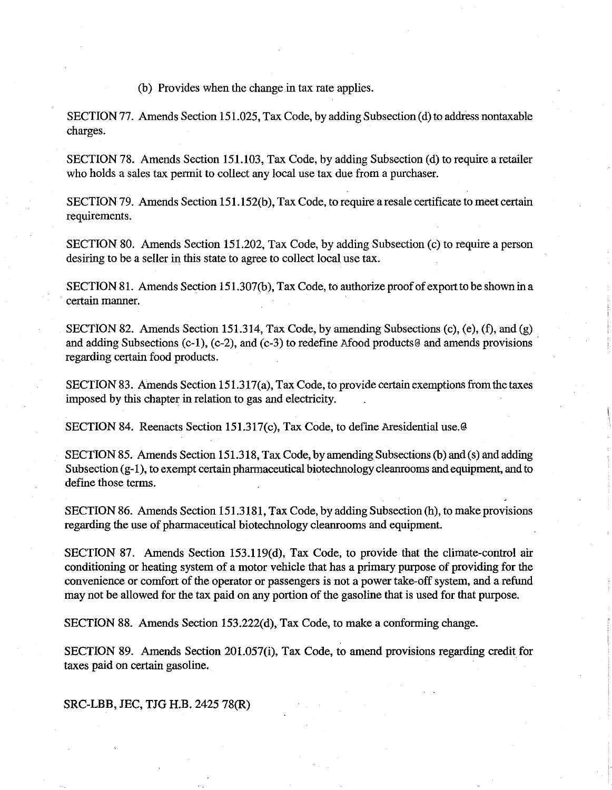(b) Provides when the change in tax rate applies.

SECTION 77. Amends Section 151.025, Tax Code, by adding Subsection (d) to address nontaxable charges.

SECTION 78. Amends Section 151.103, Tax Code, by adding Subsection (d) to require a retailer who holds a sales tax permit to collect any local use tax due from a purchaser.

SECTION 79. Amends Section 151.152(b), Tax Code, to require a resale certificate to meet certain requirements.

SECTION 80. Amends Section 151.202, Tax Code, by adding Subsection (c) to require a person desiring to be a seller in this state to agree to collect local use tax.

SECTION 81. Amends Section 151.307(b), Tax Code, to authorize proof of export to be shown ina certain manner.

SECTION 82. Amends Section 151.314, Tax Code, by amending Subsections (c), (e), (f), and (g) and adding Subsections (c-1), (c-2), and (c-3) to redefine Afood products@ and amends provisions regarding certain food products.

SECTION 83. Amends Section 151.317(a), Tax Code, to provide certain exemptions from the taxes imposed by this chapter in relation to gas and electricity.

SECTION 84. Reenacts Section 151.317(c), Tax Code, to define Aresidential use.@

SECTION 85. Amends Section 151.318, Tax Code, by amending Subsections (b) and (s) and adding Subsection (g-1), to exempt certain pharmaceutical biotechnology cleanrooms and equipment, and to define those terms.

SECTION 86. Amends Section 151.3181, Tax Code, by adding Subsection (h), to make provisions regarding the use of pharmaceutical biotechnology cleanrooms and equipment.

SECTION 87. Amends Section 153.119(d), Tax Code, to provide that the climate-control air conditioning or heating system of a motor vehicle that has a primary purpose of providing for the convenience or comfort of the operator or passengers is not a power take-off system, and a refund may not be allowed for the tax paid on any portion of the gasoline that is used for that purpose.

SECTION 88. Amends Section 153.222(d), Tax Code, to make a conforming change.

SECTION 89. Amends Section 201.057(i), Tax Code, to amend provisions regarding credit for taxes paid on certain gasoline.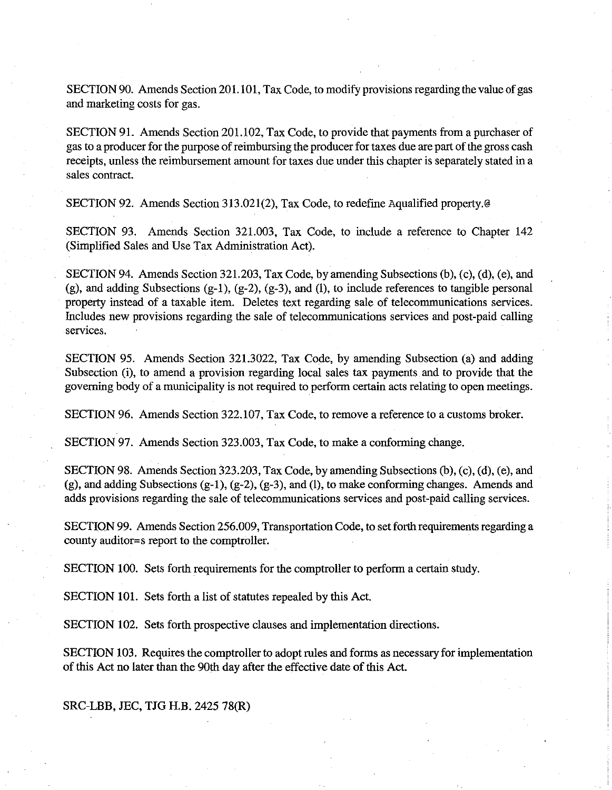SECTION 90. Amends Section 201.101, Tax Code, to modify provisions regarding the value of gas and marketing costs for gas.

SECTION 91. Amends Section 201.102, Tax Code, to provide that payments from a purchaser of gas to a producer for the purpose of reimbursing the producer for taxes due are part of the gross cash receipts, unless the reimbursement amount for taxes due under this chapter is separately stated in a sales contract.

SECTION 92. Amends Section 313.021(2), Tax Code, to redefine Aqualified property.@

SECTION 93. Amends Section 321.003, Tax Code, to include a reference to Chapter 142 (Simplified Sales and Use Tax Administration Act).

SECTION 94. Amends Section 321.203, Tax Code, by amending Subsections (b), (c), (d), (e), and (g), and adding Subsections (g-I), (g-2), (g-3), and (I), to include references to tangible personal property instead of a taxable item. Deletes text regarding sale of telecommunications services. Includes new provisions regarding the sale of telecommunications services and post-paid calling services.

SECTION 95. Amends Section 321.3022, Tax Code, by amending Subsection (a) and adding Subsection (i), to amend a provision regarding local sales tax payments and to provide that the governing body of a municipality is not required to perform certain acts relating to open meetings.

SECTION 96. Amends Section 322.107, Tax Code, to remove a reference to a customs broker.

SECTION 97. Amends Section 323.003, Tax Code, to make a conforming change.

SECTION 98. Amends Section 323.203, Tax Code, by amending Subsections (b), (c), (d), (e), and (g), and adding Subsections (g-l), (g-2), (g-3), and (I), to make conforming changes. Amends and adds provisions regarding the sale of telecommunications services and post-paid calling services.

SECTION 99. Amends Section 256.009, Transportation Code, to set forth requirements regarding a county auditor=s report to the comptroller.

SECTION 100. Sets forth requirements for the comptroller to perform a certain study.

SECTION 101. Sets forth a list of statutes repealed by this Act.

SECTION 102. Sets forth prospective clauses and implementation directions.

SECTION 103. Requires the comptroller to adopt rules and forms as necessary for implementation of this Act no later than the 90th day after the effective date of this Act.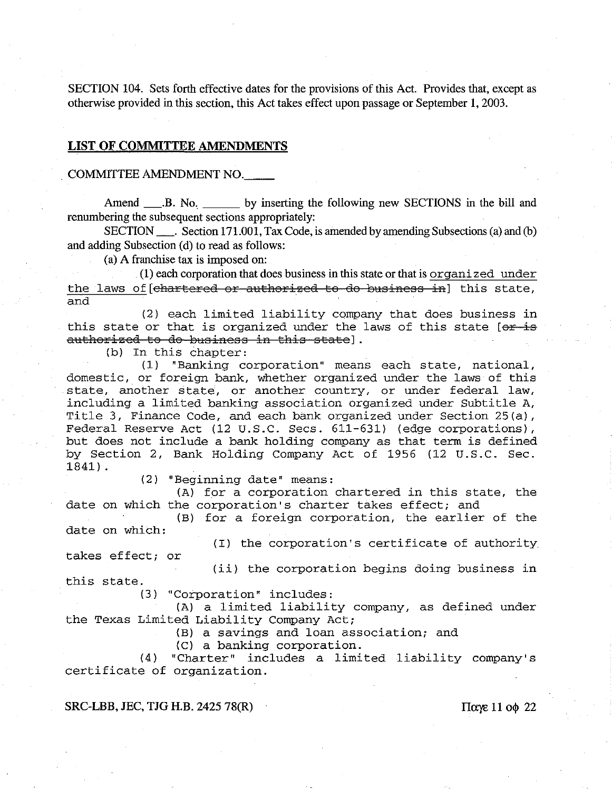SECTION 104. Sets forth effective dates for the provisions of this Act. Provides that, except as otherwise provided in this section, this Act takes effect upon passage or September 1, 2003.

#### **LIST OF COMMITTEE** AMENDMENTS

## COMMITTEE AMENDMENT NO. \_\_

Amend B. No. by inserting the following new SECTIONS in the bill and renumbering the subsequent sections appropriately:

SECTION \_\_\_\_. Section 171.001, Tax Code, is amended by amending Subsections (a) and (b) and adding Subsection (d) to read as follows:

( a) A franchise tax is imposed on:

(1) each corporation that does business in this state or that is organized under the laws of [chartered or authorized to do business in] this state, and

(2) each limited liability company that does business in this state or that is organized under the laws of this state  $[ $\theta$   $\pm$   $\theta$$ authorized to do business in this state].

(b) In this chapter:

(1) "Banking corporation" means each state, national, domestic, or foreign bank, whether organized under the laws of this state, another state, or another. country, or under federal law, including a limited banking association organized under Subtitle A, Title 3, Finance Code, and each bank organized under Section 25(a), Federal Reserve Act (12 U.S.C. Secs. 611-631) (edge corporations), but does not include a bank holding company as that term is defined by Section 2, Bank Holding Company Act of 1956 (12 U.S.C. Sec. 1841) .

(2) "Beginning date" means:

(A) for a corporation chartered in this state, the date on which the corporation's charter takes effect; and

(B) for a foreign corporation, the earlier of the date on which:

(I) the corporation's certificate of authority takes effect; or

(ii) the corporation begins doing business in this state.

(3) "Corporation" includes:

(A) a limited liability company, as defined under the Texas Limited Liability Company Act;

(B) a savings and loan association; and

(C) a banking corporation.

(4) "Charter" includes a limited liability company's certificate of organization.

SRC-LBB, JEC, TJG H.B. 2425 78(R)  $\pi$   $\pi$  11 00 22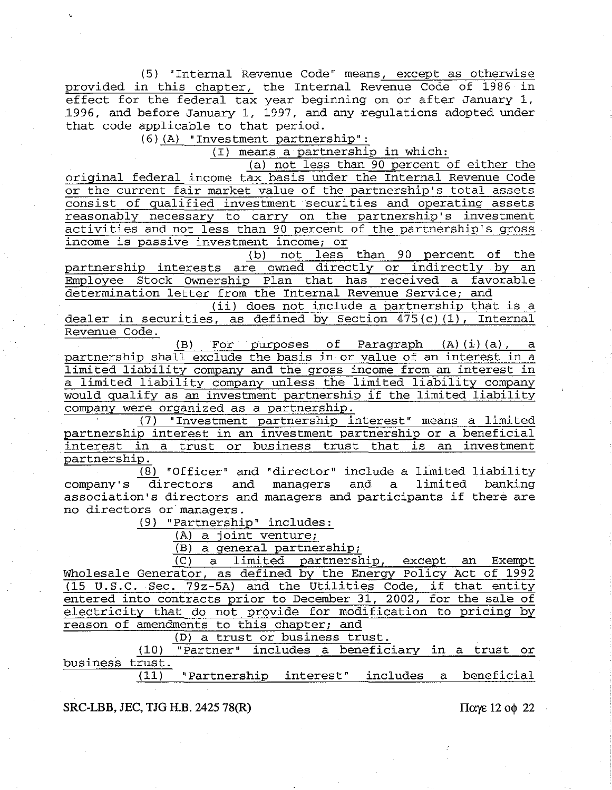(5) "Internal Revenue Code" means, except as otherwise provided in this chapter, the Internal Revenue Code of 1986 in effect for the federal tax year beginning on or after January 1, 1996, and before January 1, 1997, and any regulations adopted under that code applicable to that period.

(6) (A) "Investment **partnership":** 

(I) means a partnership in which:

(a) not less than 90 percent of either the

original federal income tax basis under the Internal Revenue Code or the current fair market value of the partnership's total assets consist of qualified investment securities and operating assets reasonably necessary to carry on the partnership's investment activities and not less than 90 percent of the partnership's gross income is passive investment income; or

(b) not less than 90 percent of the partnership interests are owned directly or indirectly by an Employee Stock Ownership Plan that has received a favorable determination letter from the Internal Revenue Service; and

(ii) does not include a partnership that is a dealer in securities, as defined by Section 475(c) (1), Internal Revenue Code.

(B) For purposes of Paragraph (A) (i) (a) , a partnership shall exclude the basis in or value of an interest in a limited liability company and the gross income from an interest in a limited liability company unless the limited liability company would qualify as an investment partnership if the limited liability company were organized as a partnership.

(7) "Investment partnership interest" means a limited partnership interest in an investment partnership or a beneficial interest in a trust or business trust that is an investment partnership.

 $\frac{1}{(8)}$  "Officer" and "director" include a limited liability company's directors and managers association's directors and managers and participants if there are no directors or managers. and a limited banking

(9) "Partnership" includes:

(A) a joint venture;

(B) a general partnership;

(C) a limited partnership, except an Exempt Wholesale Generator, as defined by the Energy policy Act of 1992 (15 **U.S.C.** Sec. 79z-5A) and the Utilities Code, if that entity entered into contracts prior to December 31, 2002, for the sale of electricity that do not provide for modification to pricing by reason of amendments to this chapter; and

(D) a trust or business trust.

(10) "Partner" includes a beneficiary in a trust or business  $\frac{$ }{}trust.<br>(11) "Partnership interest" includes a beneficial

#### **SRC-LBB, JEC, TJG H.B. 2425 78(R)**  $\pi$  **IIa:**  $\pi$  **IIa:**  $\pi$  **IIa:**  $\pi$  **I2**  $\pi$  **I2**  $\pi$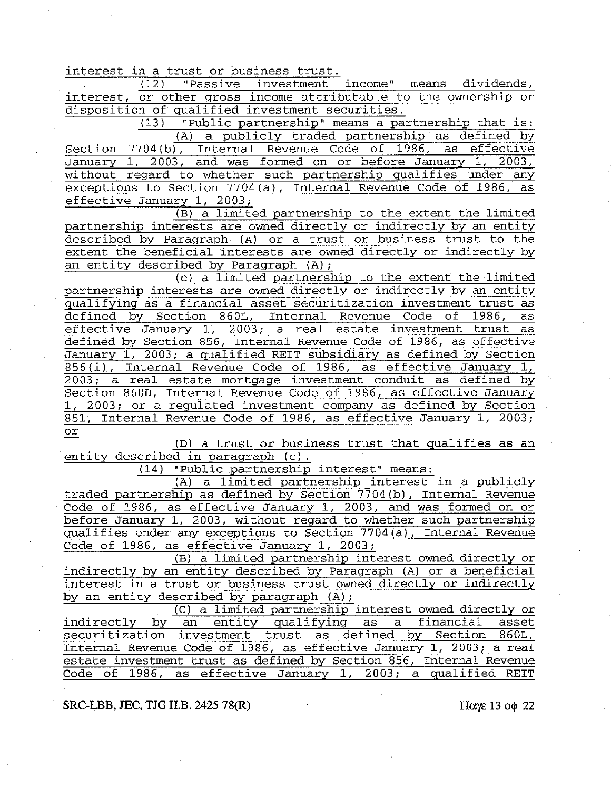interest in a trust or business trust.<br>(12) "Passive investment

"Passive investment income" means dividends, interest, or other gross income attributable to the ownership or disposition of qualified investment securities.

"Public partnership" means a partnership that is: (A) a publicly traded partnership as defined by Section 7704 (b), Internal Revenue Code of 1986, as effective January 1, 2003, and was formed on or before January 1, 2003, without regard to whether such partnership qualifies under any exceptions to Section 7704(a), Internal Revenue Code of 1986, as effective January 1, 2003;

(B) a limited partnership to the extent the limited partnership interests are owned directly or indirectly by an entity described by paragraph (A) or a trust or business trust to the extent the beneficial interests are owned directly or indirectly by an entity described by Paragraph (A);

(c) a limited partnership to the extent the limited partnership interests are owned directly or indirectly by an entity qualifying as a financial asset securitization investment trust as defined by Section 860L, Internal Revenue Code effective January 1, 2003; a real estate investment trust as defined by Section 856, Internal Revenue Code of 1986, as effective January 1, 2003; a qualified REIT subsidiary as defined by Section 856(i), Internal Revenue Code of 1986, as effective January 1, 2003; a real estate mortgage investment conduit as defined by Section 860D, Internal Revenue Code of 1986, as effective January 1, 2003; or a regulated investment company as defined by Section 851, Internal Revenue Code of 1986, as effective January 1, 2003; or

(D) a trust or business trust that qualifies as an entity described in paragraph **(c).** 

(14) "Public partnership interest" means:

(A) a limited partnership interest in a publicly traded partnership as defined by Section 7704(b), Internal Revenue Code of 1986, as effective January 1, 2003, and was formed on or before January 1, 2003, without regard to whether such partnership qualifies under any exceptions to Section 7704(a), Internal Revenue Code of 1986, as effective January 1, 2003;

(B) a limited partnership interest owned directly or indirectly by an entity described by Paragraph (A) or a beneficial interest in a trust or business trust owned directly or indirectly by an entity described by paragraph (A);

(C) a limited partnership interest owned directly or indirectly by an entity qualifying as a financial asset securitization investment trust as defined by Section Internal Revenue Code of 1986, as effective January 1, 2003; a real estate investment trust as defined by Section 856, Internal Revenue Code of 1986, as effective January 1, 2003; a qualified REIT

**SRC-LBB, JEC, TJG H.B. 2425 78(R)** Illustrated a set of  $\alpha$  **is a set of**  $\alpha$  **is a set of**  $\alpha$  **22 is a set of**  $\alpha$  **is a set of**  $\alpha$  **is a set of**  $\alpha$  **is a set of**  $\alpha$  **is a set of**  $\alpha$  **is a set of**  $\alpha$  **is**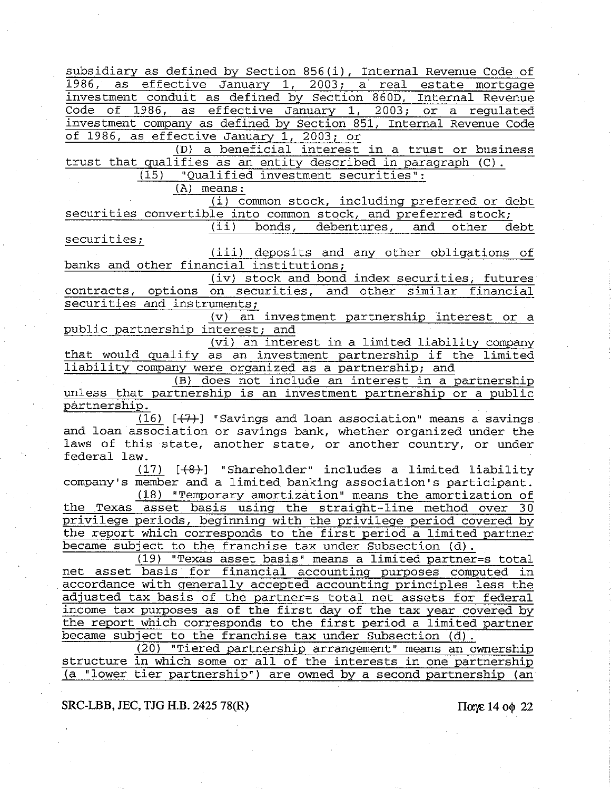subsidiary as defined by Section 856(i), Internal Revenue Code of 1986, as effective January 1, 2003; a real estate mortgage investment conduit as defined by Section 860D, Internal Revenue Code of 1986, as effective January 1, 2003; or a regulated investment company as defined by Section 851, Internal Revenue Code of 1986, as effective January 1, 2003; or

(D) a beneficial interest in a trust or business trust that qualifies as an entity described in paragraph (C). (15) "Qualified investment securities":

(A) means:

(i) common stock, including preferred or debt securities convertible into common stock, and preferred stock;

(ii) bonds, debentures, and other debt securities;

(iii) deposits and any other obligations of banks and other financial institutions;

(iv) stock and bond index securities, futures contracts, options on securities, and other similar financial securities and instruments;

(v) an investment partnership interest or a public partnership interest; and

(vi) an interest in a limited liability company that would qualify as an investment partnership if the limited liability company were organized as a partnership; and

*(B)* does not include an interest in a partnership unless that partnership is an investment partnership or a public partnership.

 $(16)$   $[+7+]$  "Savings and loan association" means a savings and loan association or savings bank, whether organized under the laws of this state, another state, or another country, or under federal law.

 $(17)$   $[+8+]$  "Shareholder" includes a limited liability company's member and a limited banking association's participant.

(18) "Temporary amortization" means the amortization of the Texas asset basis using the straight-line method over 30 privilege periods, beginning with the privilege period covered by the report which corresponds to the first period a limited partner became subject to the franchise tax under Subsection (d).

(19) "Texas asset basis" means a limited partner=s total net asset basis for financial accounting purposes computed in accordance with generally accepted accounting principles less the adjusted tax basis of the partner-s total net assets for federal income tax purposes as of the first day of the tax year covered by the report which corresponds to the first period a limited partner became subject to the franchise tax under Subsection (d).

(20) "Tiered partnership arrangement" means an ownership structure in which some or all of the interests in one partnership (a "lower tier partnership") are owned by a second partnership (an

**SRC-LBB, JEC, TJG H.B. 2425 78(R)** ΓΙΩΥΣ ΙΔΙΣ ΠΩΥΣ 14 0 Φ 22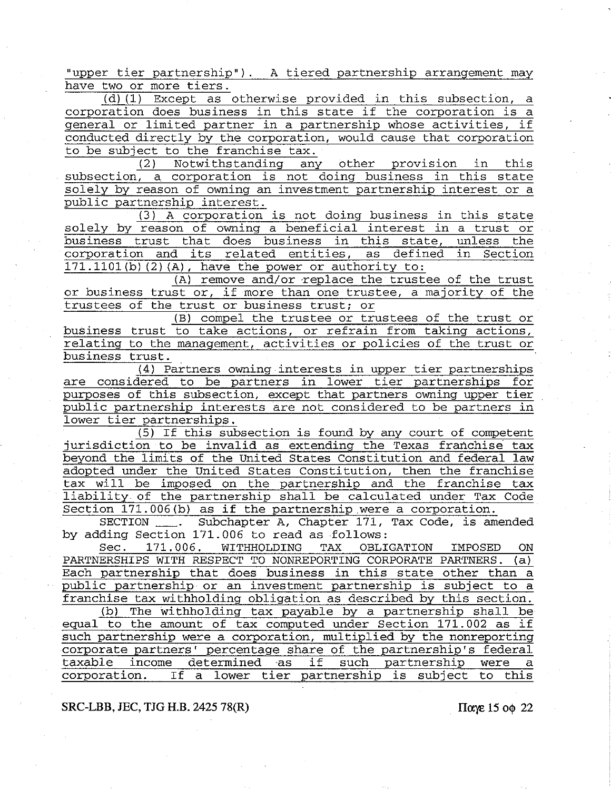"upper tier partnership"). A tiered partnership arrangement may have two or more tiers.

(d) (1) Except as otherwise provided in this subsection, a corporation does business in this state if the corporation is a general or limited partner in a partnership whose activities, if conducted directly by the corporation, would cause that corporation to be subject to the franchise tax.

(2) Notwithstanding any other provision in this subsection, a corporation is not doing business in this state solely by reason of owning an investment partnership interest or a public partnership interest.

(3) A corporation is not doing business in this state solely by reason of owning a beneficial interest in a trust or<br>business trust that does business in this state, unless the business trust that does business in this state, unless the corporation and its related entities, as defined in Section corporation and its related entities, as defined  $171.1101(b)$   $(2)$   $(A)$ , have the power or authority to:

 $(A)$  remove and/or replace the trustee of the trust or business trust or, if more than one trustee, a majority of the trustees of the trust or business trust; or

(B) compel the trustee or trustees of the trust or business trust to take actions, or refrain from taking actions, relating to the management, activities or policies of the trust or business trust.

(4) Partners owning interests in upper tier partnerships are considered to be partners in lower tier partnerships for purposes of this subsection, except that partners owning upper tier public partnership interests are not considered to be partners in lower tier partnerships.

(5) If this subsection is found by any court of competent jurisdiction to be invalid as extending the Texas franchise tax beyond the limits of the United States Constitution and federal law adopted under the United States Constitution, then the franchise tax will be imposed on the partnership and the franchise tax liability of the partnership shall be calculated under Tax Code Section 171.006(b) as if the partnership were a corporation.

SECTION \_\_\_. Subchapter A, Chapter 171, Tax Code, is amended by adding Section 171.006 to read as follows:

Sec. 171.006. WITHHOLDING TAX OBLIGATION IMPOSED ON PARTNERSHIPS WITH RESPECT TO NONREPORTING CORPORATE PARTNERS. (a) Each partnership that does business in this state other than a public partnership or an investment partnership is subject to a franchise tax withholding obligation as described by this section.

(b) The withholding tax payable by a partnership shall be equal to the amount of tax computed under Section 171.002 as if such partnership were a corporation, multiplied by the nonreporting corporate partners' percentage share of the partnership's federal taxable income determined as if such partnership were a If a lower tier partnership is subject to this

## **SRC-LBB, JEC, TJG H.B. 2425 78(R)** *IIaye* **15 οφ 22**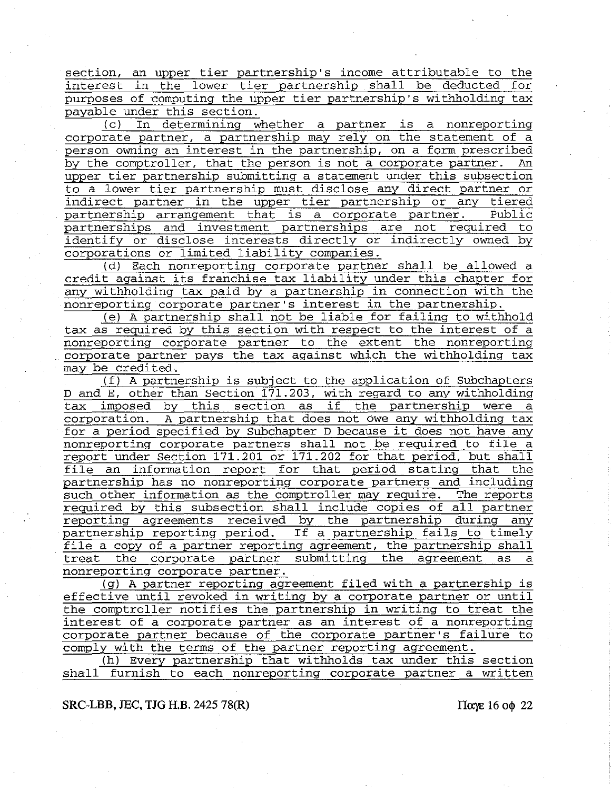section, an upper tier partnership's income attributable to the interest in the lower tier partnership shall be deducted for purposes of computing the upper tier partnership's withholding tax payable under this section.

(c) In determining whether a partner is a nonreporting corporate partner, a partnership may rely on the statement of a person owning an interest in the partnership, on a form prescribed by the comptroller, that the person is not a corporate partner. An upper tier partnership submitting a statement under this subsection to a lower tier partnership must disclose any direct partner or indirect partner in the upper tier partnership or any tiered<br>partnership arrangement that is a corporate partner. Public partnership arrangement that is a corporate partner. partnerships and investment partnerships are not required to identify or disclose interests directly or indirectly owned by corporations or limited liability companies.

(d) Each nonreporting corporate partner shall be allowed a credit against its franchise tax liability under this chapter for any withholding tax paid by a partnership in connection with the nonreporting corporate partner's interest in the partnership.

(e) A partnership shall not be liable for failing to withhold tax as required by this section with respect to the interest of a nonreporting corporate partner to the extent the nonreporting corporate partner pays the tax against which the withholding tax may be credited.

(f) A partnership is subject to the application of Subchapters D and E, other than Section 171.203, with regard to any withholding b and B, other than section 1/1.2007, with regard to any wrtheording<br>tax imposed by this section as if the partnership were a corporation. A partnership that does not owe any withholding tax for a period specified by Subchapter D because it does not have any nonreporting corporate partners shall not be required to file a report under Section 171.201 or 171.202 for that period, but shall file an information report for that period stating that the partnership has no nonreporting corporate partners and including such other information as the comptroller may require. The reports required by this subsection shall include copies of all partner reporting agreements received by the partnership during any partnership reporting period. If a partnership fails to timely file a copy of a partner reporting agreement, the partnership shall treat the corporate partner submitting the agreement as a nonreporting corporate partner.

(g) A partner reporting agreement filed with a partnership is effective until revoked in writing by a corporate partner or until the comptroller notifies the partnership in writing to treat the interest of a corporate partner as an interest of a nonreporting corporate partner because of the corporate partner's failure to comply with the terms of the partner reporting agreement.

(h) Every partnership that withholds tax under this section shall furnish to each nonreporting corporate partner a written

**SRC-LBB, JEC, TJG H.B. 2425 78(R)** Παγε 16 οφ 22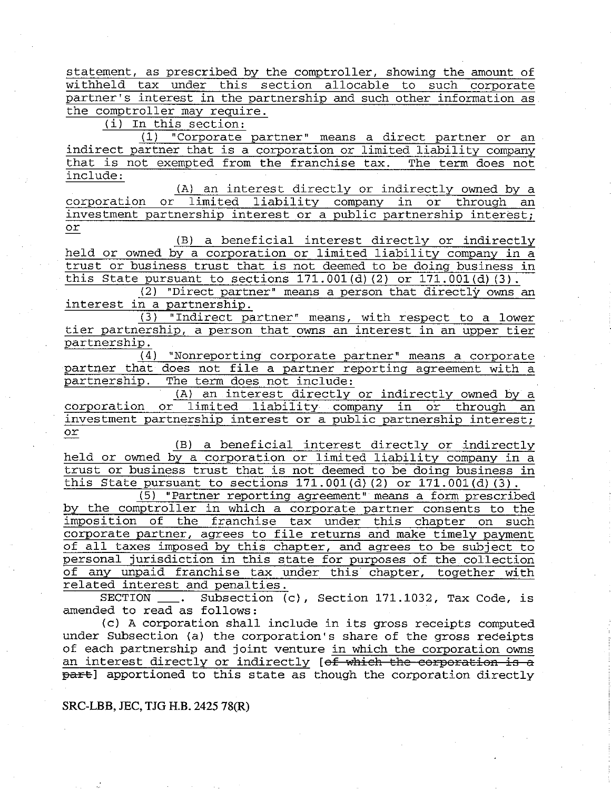statement, as prescribed by the comptroller, showing the amount of withheld tax under this section allocable to such corporate partner's interest in the partnership and such other information as the comptroller may require.

(i) In this section:

(1) "Corporate partner" means a direct partner or an indirect partner that is a corporation or limited liability company that is not exempted from the franchise tax. The term does not include:

(A) an interest directly or indirectly owned by a<br>Iimited liability company in or through an corporation or limited liability company in or through an investment partnership interest or a public partnership interest; or

(B) a beneficial interest directly or indirectly held or owned by a corporation or limited liability company in a trust or business trust that is not deemed to be doing business in this State pursuant to sections  $171.001(d)$  (2) or  $171.001(d)$  (3).

(2) "Direct partner" means a person that directly owns an interest in a partnership.

(3) "Indirect partner" means, with respect to a lower tier partnership, a person that owns an interest in an upper tier partnership.

(4) "Nonreporting corporate partner" means a corporate partner that does not file a partner reporting agreement with a partnership. The term does not include: The term does not include:

(A) an interest directly or indirectly owned by a corporation or limited liability company in or through an investment partnership interest or a public partnership interest; or

(B) a beneficial interest directly or indirectly held or owned by a corporation or limited liability company in a trust or business trust that is not deemed to be doing business in this State pursuant to sections 171.001(d) (2) or 171.001(d) **(3).** 

(5) "Partner reporting agreement" means a form prescribed by the comptroller in which a corporate partner consents to the imposition of the franchise tax under this chapter on such corporate partner, agrees to file returns and make timely payment of all taxes imposed by this chapter, and agrees to be subject to personal jurisdiction in this state for purposes of the collection of any unpaid franchise tax under this chapter, together with related interest and penalties.

SECTION \_\_\_. Subsection (c), Section 171.1032, Tax Code, is amended to read as follows:

(c) A corporation shall include in its gross receipts computed under Subsection (a) the corporation's share of the gross receipts of eaCh partnership and joint venture in which the corporation owns an interest directly or indirectly [of which the corporation is a part] apportioned to this state as though the corporation directly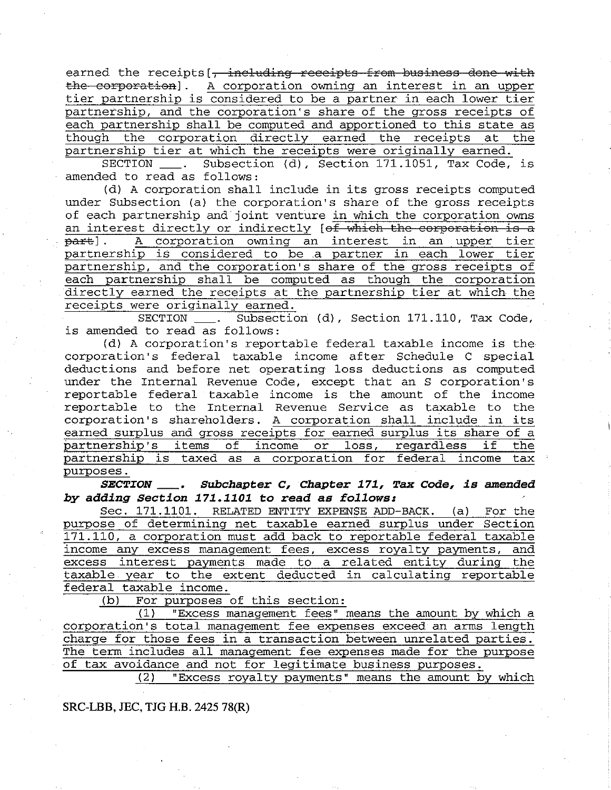earned the receipts [, including receipts from business done with the corporation]. A corporation owning an interest in an upper tier partnership is considered to be a partner in each lower tier partnership, and the corporation's share of the gross receipts of each partnership shall be computed and apportioned to this state as though the corporation directly earned the receipts at the partnership tier at which the receipts were originally earned.

SECTION \_\_\_. Subsection (d), Section 171.1051, Tax Code, is amended to read as follows:

(d) A corporation shall include in its gross receipts computed under Subsection (a) the corporation's share of the gross receipts of each partnership and joint venture in which the corporation owns an interest directly or indirectly  $[off which the corporation is a  
part].$  A corporation owning an interest in an upper tier A corporation owning an interest in an upper tier partnership is considered to be .a partner in each lower tier partnership, and the corporation's share of the gross receipts of each partnership shall be computed as though the corporation directly earned the receipts at the partnership tier at which the receipts were originally earned.

Subsection (d), Section 171.110, Tax Code, is amended to read as follows:

(d) A corporation's reportable federal taxable income is the corporation's federal taxable income after Schedule C special deductions and before net operating loss deductions as computed under the Internal Revenue Code, except that an S corporation's reportable federal taxable income is the amount of the income reportable to the Internal Revenue Service as taxable to the corporation's shareholders. A corporation shall include in its earned surplus and gross receipts for earned surplus its share of a partnership's items of income or loss, regardless if the partnership is taxed as a corporation for federal income tax partnership is taxed as a corporation for federal income purposes.

*SECTION Subchapter* **C,** *Chapter* **171, Tax** *Code, is amended by adding Section 171.1101* **to** *read as follows:* 

Sec. 171.1101. RELATED ENTITY EXPENSE ADD-BACK. (a) For the purpose of determining net taxable earned surplus under Section 171.110, a corporation must add back to reportable federal taxable income any excess management fees, excess royalty payments, and excess interest payments made to a related entity during the taxable year to the extent deducted in calculating reportable federal taxable income.

(b) For purposes of this section:

(1) "Excess management fees" means the amount by which a corporation's total management fee expenses exceed an arms length charge for those fees in a transaction between unrelated parties. The term includes all management fee expenses made for the purpose of tax avoidance and not for legitimate business purposes.

(2) "Excess royalty payments" means the amount by which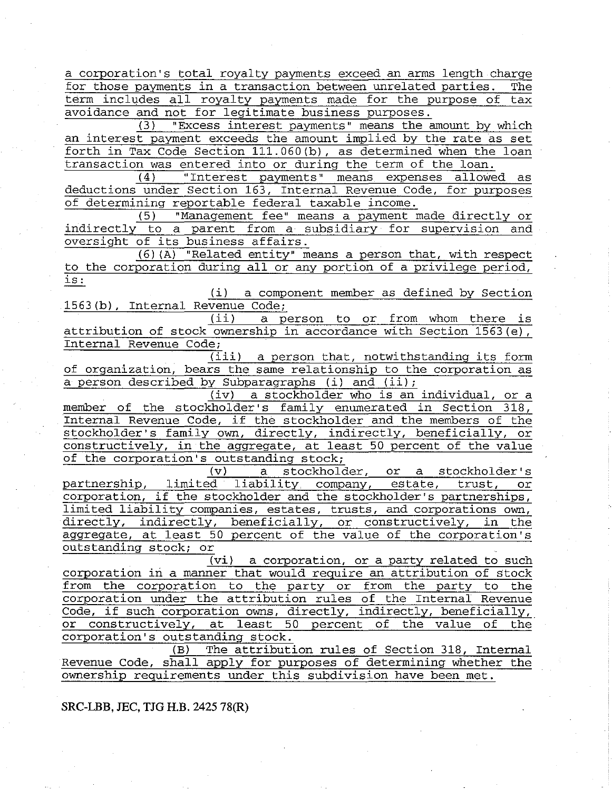a corporation's total royalty payments exceed an arms length charge for those payments in a transaction between unrelated parties. The term includes all royalty payments made for the purpose of tax term includes all royalty payments made for the purpose of avoidance and not for legitimate business purposes.

(3) "Excess interest payments" means the amount by which an interest payment exceeds the amount implied by the rate as set forth in Tax Code Section 111.060(b), as determined when the loan transaction was entered into or during the term of the loan.

(4) "Interest payments" means expenses allowed as deductions under Section 163, Internal Revenue Code, for purposes of determining reportable federal taxable income.

(5) "Management fee" means a payment made directly or indirectly to a parent from a subsidiary for supervision and oversight of its business affairs.

(6) (A) "Related entity" means a person that, with respect to the corporation during all or any portion of a privilege period, is:

(i) a component member as defined by Section  $\frac{1563(b)}{1563(b)}$ , Internal Revenue Code;<br>(ii) a p

a person to or from whom there is attribution of stock ownership in accordance with Section 1563(e), Internal Revenue Code;

(iii) a person that, notwithstanding its form of organization, bears the same relationship to the corporation as a person described by Subparagraphs (i) and (ii);

(iv) a stockholder who is an individual, or a member of the stockholder's family enumerated in Section 318, Internal Revenue Code, if the stockholder and the members of the stockholder's family own, directly, indirectly, beneficially, or constructively, in the aggregate, at least 50 percent of the value of the corporation's outstanding stock;

(v) a stockholder, or a stockholder's partnership, limited liability company, estate, trust, or corporation, if the stockholder and the stockholder's partnerships, limited liability companies, estates, trusts, and corporations own, directly, indirectly, beneficially, or constructively, in the aggregate, at least 50 percent of the value of the corporation's outstanding stock; or

(vi) a corporation, or a party related to such corporation in a manner that would require an attribution of stock from the corporation to the party or from the party to the corporation under the attribution rules of the Internal Revenue Code, if such corporation owns, directly, indirectly, beneficially, or constructively, at least 50 percent of the value of the corporation's outstanding stock.

(B) The attribution rules of Section 318, Internal Revenue Code, shall apply for purposes of determining whether the ownership requirements under this subdivision have been met.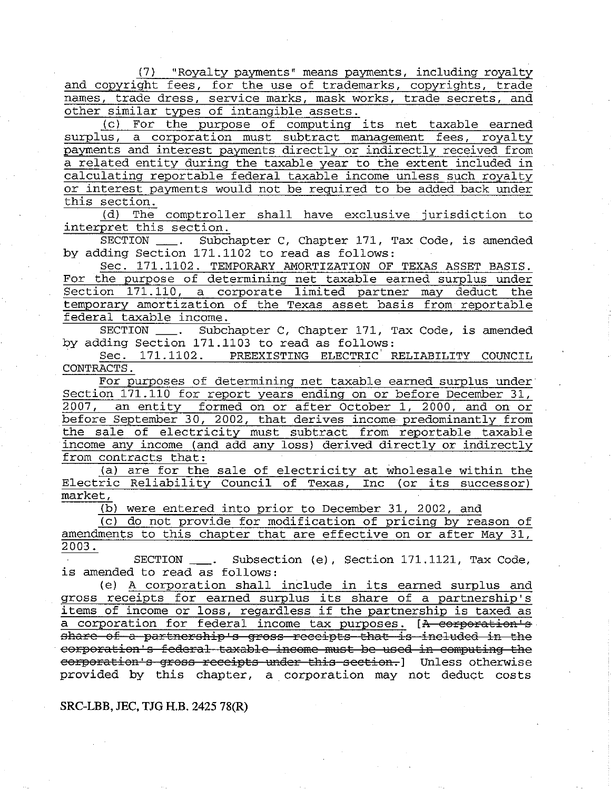(7) "Royalty payments" means payments, including royalty and copyright fees, for the use of trademarks, copyrights, trade names, trade dress, service marks, mask works, trade secrets, and other similar types of intangible assets.

(c) For the purpose of computing its net taxable earned surplus, a corporation must subtract management fees, royalty payments and interest payments directly or indirectly received from a related entity during the taxable year to the extent included in calculating reportable federal taxable income unless such royalty or interest payments would not be required to be added back under this section.

(d) The comptroller shall have exclusive jurisdiction to interpret this section.

SECTION \_\_\_. Subchapter C, Chapter 171, Tax Code, is amended by adding Section 171.1102 to read as follows:

Sec. 171.1102. TEMPORARY AMORTIZATION OF TEXAS ASSET BASIS. For the purpose of determining net taxable earned surplus under Section 171.110, a corporate limited partner may deduct the temporary amortization of the Texas asset basis from reportable federal taxable income.

SECTION \_\_\_\_. Subchapter C, Chapter 171, Tax Code, is amended by adding Section 171.1103 to read as follows:<br>Sec. 171.1102. PREEXISTING ELECTRIC F

PREEXISTING ELECTRIC RELIABILITY COUNCIL CONTRACTS.

For purposes of determining net taxable earned surplus under Section 171.110 for report years ending on or before December 31, 2007, an entity formed on or after October 1, 2000, and on or before September 30, 2002, that derives income predominantly from the sale of electricity must subtract from reportable taxable income any income (and add any loss) derived directly or indirectly from contracts that:

(a) are for the sale of electricity at wholesale within the Electric Reliability Council of Texas, Inc (or its successor) market,

(b) were entered into prior to December 31, 2002, and

(c) do not provide for modification of pricing by reason of amendments to this chapter that are effective on or after May 31, 2003.

SECTION \_\_\_. Subsection (e), Section 171.1121, Tax Code, is amended to read as follows:

(e) A corporation shall include in its earned surplus and gross receipts for earned surplus its share of a partnership's items of income or loss, regardless if the partnership is taxed as a corporation for federal income tax purposes. [A corporation's share of a partnership's gross receipts that is included in the corporation's federal taxable income must be used in computing the eorporation's gross receipts under this section.] Unless otherwise provided by this chapter, a corporation may not deduct costs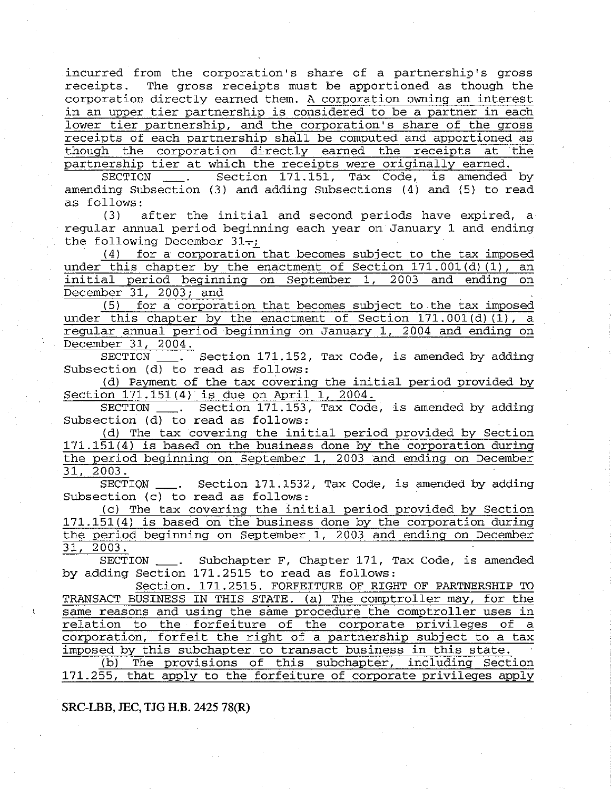incurred from the corporation's share of a partnership's gross receipts. The gross receipts must be apportioned as though the corporation directly earned them. A corporation owning an interest in an upper tier partnership is considered to be a partner in each lower tier partnership, and the corporation's share of the gross receipts of each partnership shall be computed and apportioned as though the corporation directly earned the receipts at the

partnership tier at which the receipts were originally earned.<br>SECTION . Section 171.151, Tax Code, is amended Section 171.151, Tax Code, is amended by amending Subsection (3) and adding Subsections (4) and (5) to read as follows:<br>(3)  $a$ 

after the initial and second periods have expired, a regular annual period beginning each year on January 1 and ending the following December  $31-$ ;

 $(4)$  for a corporation that becomes subject to the tax imposed under this chapter by the enactment of Section 171.001(d) (1), an initial period beginning on September 1, 2003 and ending on December 31, 2003; and

(5) for a corporation that becomes subject to the tax imposed under this chapter by the enactment of Section 171,001(d)(1), a regular annual period beginning on January 1, 2004 and ending on December 31, 2004.

SECTION \_\_\_. Section 171.152, Tax Code, is amended by adding Subsection (d) to read as follows:

(d) Payment of the tax covering the initial period provided by Section 171.151(4)' is due on April 1, 2004.

SECTION \_\_\_. Section 171.153, Tax Code, is amended by adding Subsection (d) to read as follows:

(d) The tax covering the initial period provided by Section 171.151(4) is based on the business done by the corporation during the period beginning on September 1, 2003 and ending on December 31, 2003.

SECTION \_\_\_. Section 171.1532, Tax Code, is amended by adding Subsection (c) to read as follows:

(c) The tax covering the initial period provided by Section 171.151(4) is based on the business done by the corporation during the period beginning on September 1, 2003 and ending on December 31, 2003.

SECTION \_\_\_. Subchapter F, Chapter 171, Tax Code, is amended by adding Section 171.2515 to read as follows:

Section. 171.2515. FORFEITURE OF RIGHT OF PARTNERSHIP TO TRANSACT BUSINESS IN THIS STATE. (a) The comptroller may, for the same reasons and using the same procedure the comptroller uses in relation to the forfeiture of the corporate privileges of a corporation, forfeit the right of a partnership subject to a tax imposed by this subchapter to transact business in this state.

(b) The provisions of this subchapter, including Section 171.255, that apply to the forfeiture of corporate privileges apply